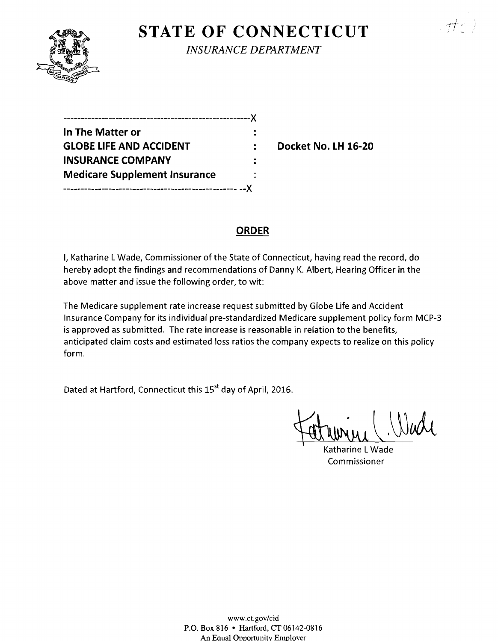# **STATE OF CONNECTICUT** *INSURANCE DEPARTMENT*

| In The Matter or                     |  |
|--------------------------------------|--|
| <b>GLOBE LIFE AND ACCIDENT</b>       |  |
| <b>INSURANCE COMPANY</b>             |  |
| <b>Medicare Supplement Insurance</b> |  |
|                                      |  |

**Docket No. LH 16-20** 

 $\pi t$ 

# **ORDER**

I, Katharine L Wade, Commissioner of the State of Connecticut, having read the record, do hereby adopt the findings and recommendations of Danny K. Albert, Hearing Officer in the above matter and issue the following order, to wit:

The Medicare supplement rate increase request submitted by Globe Life and Accident Insurance Company for its individual pre-standardized Medicare supplement policy form MCP-3 is approved as submitted. The rate increase is reasonable in relation to the benefits, anticipated claim costs and estimated loss ratios the company expects to realize on this policy form.

Dated at Hartford, Connecticut this 15<sup>st</sup> day of April, 2016.

Fatumu, Wall

Katharine LWade Commissioner

www.ct.gov/cid P.O. Box 816 • Hartford, CT 06142-0816 An Equal Opportunity Employer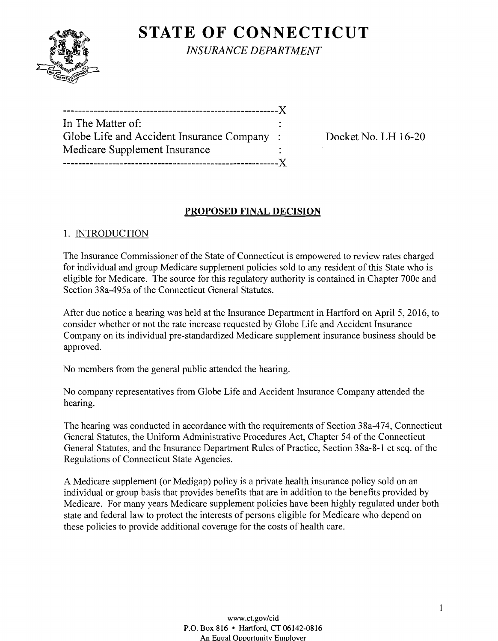

**STATE OF CONNECTICUT** *INSURANCE DEPARTMENT* 

| In The Matter of:                          |  |
|--------------------------------------------|--|
| Globe Life and Accident Insurance Company: |  |
| Medicare Supplement Insurance              |  |
|                                            |  |

Docket No. LH 16-20

# **PROPOSED FINAL DECISION**

## 1. INTRODUCTION

The Insurance Commissioner of the State of Connecticut is empowered to review rates charged for individual and group Medicare supplement policies sold to any resident of this State who is eligible for Medicare. The source for this regulatory authority is contained in Chapter 700c and Section 38a-495a of the Connecticut General Statutes.

After due notice a hearing was held at the Insurance Department in Hartford on April 5,2016, to consider whether or not the rate increase requested by Globe Life and Accident Insurance Company on its individual pre-standardized Medicare supplement insurance business should be approved.

No members from the general public attended the hearing.

No company representatives from Globe Life and Accident Insurance Company attended the hearing.

The hearing was conducted in accordance with the requirements of Section 38a-474, Connecticut General Statutes, the Uniform Administrative Procedures Act, Chapter 54 of the Connecticut General Statutes, and the Insurance Department Rules of Practice, Section 38a-8-1 et seq. of the Regulations of Connecticut State Agencies.

A Medicare supplement (or Medigap) policy is a private health insurance policy sold on an individual or group basis that provides benefits that are in addition to the benefits provided by Medicare. For many years Medicare supplement policies have been highly regulated under both state and federal law to protect the interests of persons eligible for Medicare who depend on these policies to provide additional coverage for the costs of health care.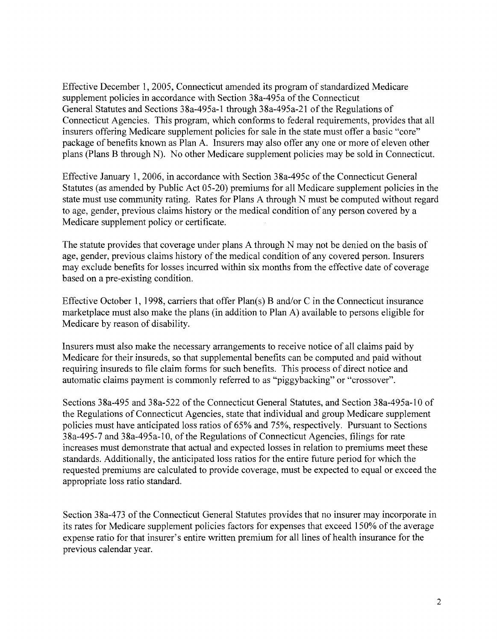Effective December 1,2005, Connecticut amended its program of standardized Medicare supplement policies in accordance with Section 38a-495a of the Connecticut General Statutes and Sections 38a-495a-1 through 38a-495a-21 ofthe Regulations of Connecticut Agencies. This program, which conforms to federal requirements, provides that all insurers offering Medicare supplement policies for sale in the state must offer a basic "core" package of benefits known as Plan A. Insurers may also offer anyone or more of eleven other plans (Plans B through N). No other Medicare supplement policies may be sold in Connecticut.

Effective January 1,2006, in accordance with Section 38a-495c ofthe Connecticut General Statutes (as amended by Public Act 05-20) premiums for all Medicare supplement policies in the state must use community rating. Rates for Plans A through N must be computed without regard to age, gender, previous claims history or the medical condition of any person covered by a Medicare supplement policy or certificate.

The statute provides that coverage under plans A through N may not be denied on the basis of age, gender, previous claims history of the medical condition of any covered person. Insurers may exclude benefits for losses incurred within six months from the effective date of coverage based on a pre-existing condition.

Effective October 1, 1998, carriers that offer Plan(s) B and/or C in the Connecticut insurance marketplace must also make the plans (in addition to Plan A) available to persons eligible for Medicare by reason of disability.

Insurers must also make the necessary arrangements to receive notice of all claims paid by Medicare for their insureds, so that supplemental benefits can be computed and paid without requiring insureds to file claim forms for such benefits. This process of direct notice and automatic claims payment is commonly referred to as "piggybacking" or "crossover".

Sections 38a-495 and 38a-522 of the Connecticut General Statutes, and Section 38a-495a-10 of the Regulations of Connecticut Agencies, state that individual and group Medicare supplement policies must have anticipated loss ratios of 65% and 75%, respectively. Pursuant to Sections 38a-495-7 and 38a-495a-10, of the Regulations of Connecticut Agencies, filings for rate increases must demonstrate that actual and expected losses in relation to premiums meet these standards. Additionally, the anticipated loss ratios for the entire future period for which the requested premiums are calculated to provide coverage, must be expected to equal or exceed the appropriate loss ratio standard.

Section 38a-473 of the Connecticut General Statutes provides that no insurer may incorporate in its rates for Medicare supplement policies factors for expenses that exceed 150% of the average expense ratio for that insurer's entire written premium for all lines of health insurance for the previous calendar year.